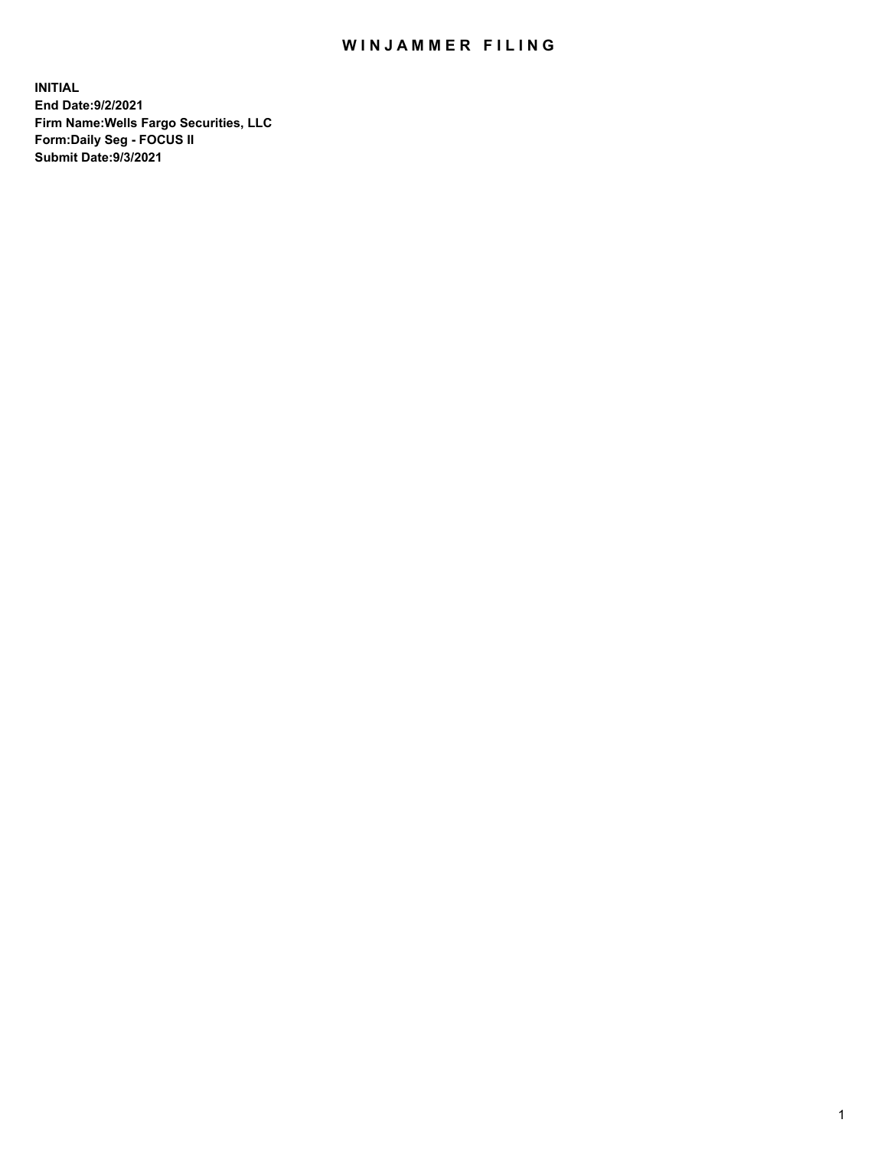## WIN JAMMER FILING

**INITIAL End Date:9/2/2021 Firm Name:Wells Fargo Securities, LLC Form:Daily Seg - FOCUS II Submit Date:9/3/2021**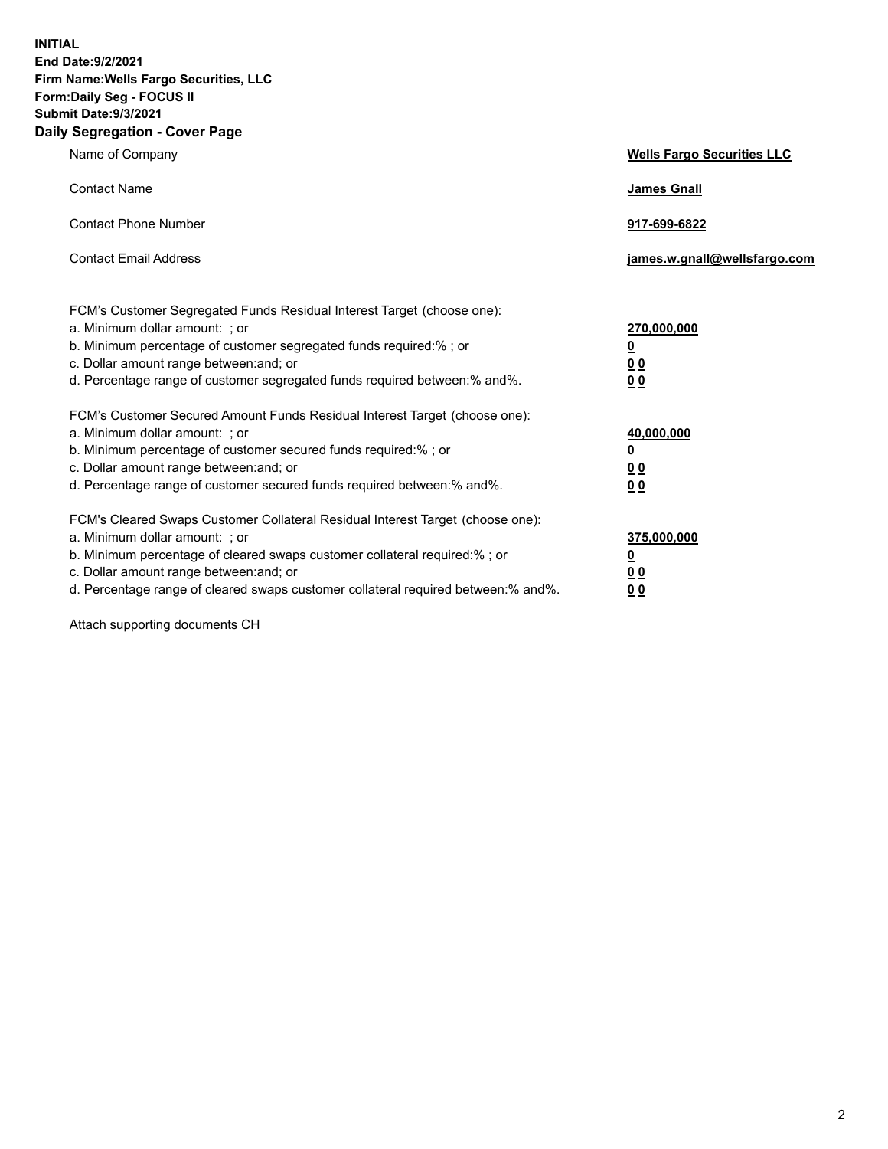**INITIAL End Date:9/2/2021 Firm Name:Wells Fargo Securities, LLC Form:Daily Seg - FOCUS II Submit Date:9/3/2021 Daily Segregation - Cover Page**

| Name of Company                                                                                                                                                                                                                                                                                                                | <b>Wells Fargo Securities LLC</b>                                         |
|--------------------------------------------------------------------------------------------------------------------------------------------------------------------------------------------------------------------------------------------------------------------------------------------------------------------------------|---------------------------------------------------------------------------|
| <b>Contact Name</b>                                                                                                                                                                                                                                                                                                            | <b>James Gnall</b>                                                        |
| <b>Contact Phone Number</b>                                                                                                                                                                                                                                                                                                    | 917-699-6822                                                              |
| <b>Contact Email Address</b>                                                                                                                                                                                                                                                                                                   | james.w.gnall@wellsfargo.com                                              |
| FCM's Customer Segregated Funds Residual Interest Target (choose one):<br>a. Minimum dollar amount: ; or<br>b. Minimum percentage of customer segregated funds required:% ; or<br>c. Dollar amount range between: and; or<br>d. Percentage range of customer segregated funds required between:% and%.                         | 270,000,000<br>$\overline{\mathbf{0}}$<br>0 <sub>0</sub><br>00            |
| FCM's Customer Secured Amount Funds Residual Interest Target (choose one):<br>a. Minimum dollar amount: ; or<br>b. Minimum percentage of customer secured funds required:%; or<br>c. Dollar amount range between: and; or<br>d. Percentage range of customer secured funds required between:% and%.                            | 40,000,000<br>$\overline{\mathbf{0}}$<br>0 <sub>0</sub><br>0 <sub>0</sub> |
| FCM's Cleared Swaps Customer Collateral Residual Interest Target (choose one):<br>a. Minimum dollar amount: ; or<br>b. Minimum percentage of cleared swaps customer collateral required:% ; or<br>c. Dollar amount range between: and; or<br>d. Percentage range of cleared swaps customer collateral required between:% and%. | 375,000,000<br><u>0</u><br>00<br>00                                       |

Attach supporting documents CH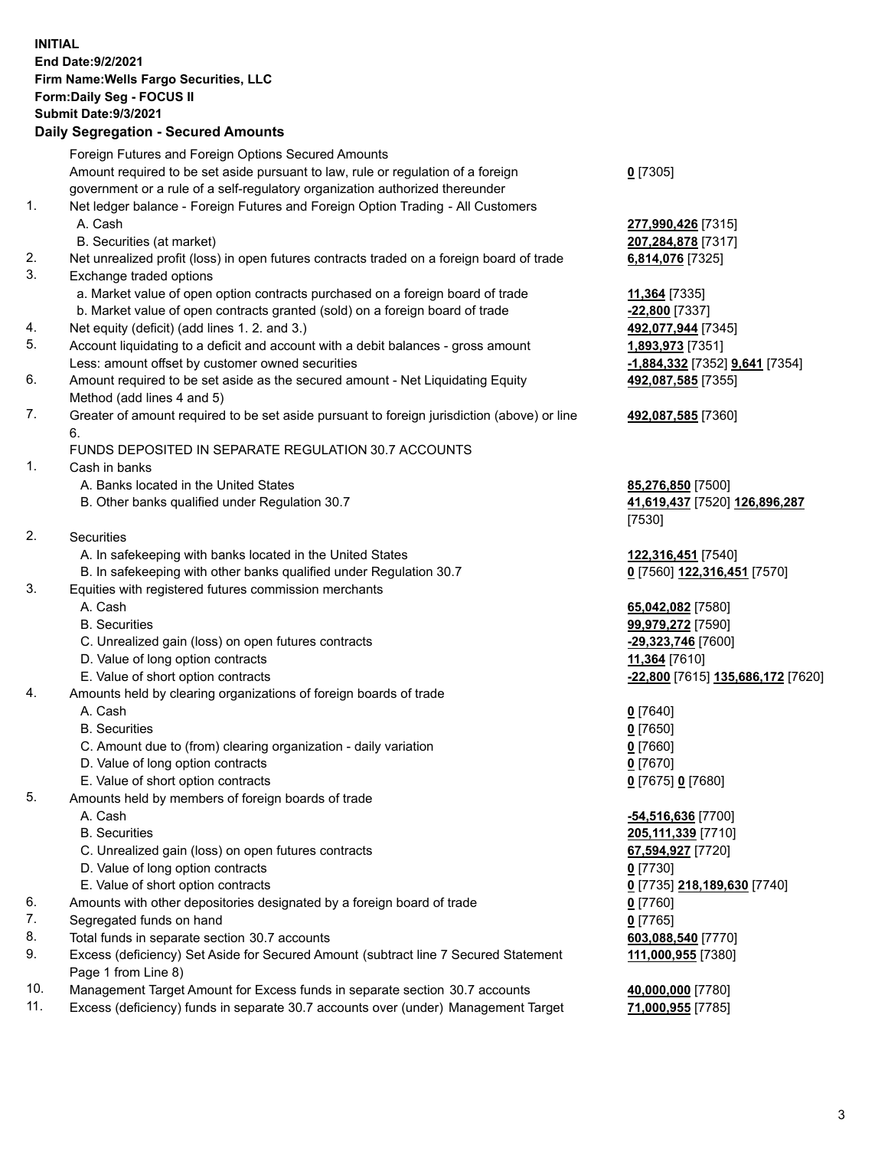**INITIAL End Date:9/2/2021 Firm Name:Wells Fargo Securities, LLC Form:Daily Seg - FOCUS II Submit Date:9/3/2021 Daily Segregation - Secured Amounts**

Foreign Futures and Foreign Options Secured Amounts Amount required to be set aside pursuant to law, rule or regulation of a foreign government or a rule of a self-regulatory organization authorized thereunder **0** [7305] 1. Net ledger balance - Foreign Futures and Foreign Option Trading - All Customers A. Cash **277,990,426** [7315] B. Securities (at market) **207,284,878** [7317] 2. Net unrealized profit (loss) in open futures contracts traded on a foreign board of trade **6,814,076** [7325] 3. Exchange traded options a. Market value of open option contracts purchased on a foreign board of trade **11,364** [7335] b. Market value of open contracts granted (sold) on a foreign board of trade **-22,800** [7337] 4. Net equity (deficit) (add lines 1. 2. and 3.) **492,077,944** [7345] 5. Account liquidating to a deficit and account with a debit balances - gross amount **1,893,973** [7351] Less: amount offset by customer owned securities **-1,884,332** [7352] **9,641** [7354] 6. Amount required to be set aside as the secured amount - Net Liquidating Equity Method (add lines 4 and 5) **492,087,585** [7355] 7. Greater of amount required to be set aside pursuant to foreign jurisdiction (above) or line 6. **492,087,585** [7360] FUNDS DEPOSITED IN SEPARATE REGULATION 30.7 ACCOUNTS 1. Cash in banks A. Banks located in the United States **85,276,850** [7500] B. Other banks qualified under Regulation 30.7 **41,619,437** [7520] **126,896,287** [7530] 2. Securities A. In safekeeping with banks located in the United States **122,316,451** [7540] B. In safekeeping with other banks qualified under Regulation 30.7 **0** [7560] **122,316,451** [7570] 3. Equities with registered futures commission merchants A. Cash **65,042,082** [7580] B. Securities **99,979,272** [7590] C. Unrealized gain (loss) on open futures contracts **-29,323,746** [7600] D. Value of long option contracts **11,364** [7610] E. Value of short option contracts **-22,800** [7615] **135,686,172** [7620] 4. Amounts held by clearing organizations of foreign boards of trade A. Cash **0** [7640] B. Securities **0** [7650] C. Amount due to (from) clearing organization - daily variation **0** [7660] D. Value of long option contracts **0** [7670] E. Value of short option contracts **0** [7675] **0** [7680] 5. Amounts held by members of foreign boards of trade A. Cash **-54,516,636** [7700] B. Securities **205,111,339** [7710] C. Unrealized gain (loss) on open futures contracts **67,594,927** [7720] D. Value of long option contracts **0** [7730] E. Value of short option contracts **0** [7735] **218,189,630** [7740] 6. Amounts with other depositories designated by a foreign board of trade **0** [7760] 7. Segregated funds on hand **0** [7765]

- 8. Total funds in separate section 30.7 accounts **603,088,540** [7770]
- 9. Excess (deficiency) Set Aside for Secured Amount (subtract line 7 Secured Statement Page 1 from Line 8)
- 10. Management Target Amount for Excess funds in separate section 30.7 accounts **40,000,000** [7780]
- 11. Excess (deficiency) funds in separate 30.7 accounts over (under) Management Target **71,000,955** [7785]

**111,000,955** [7380]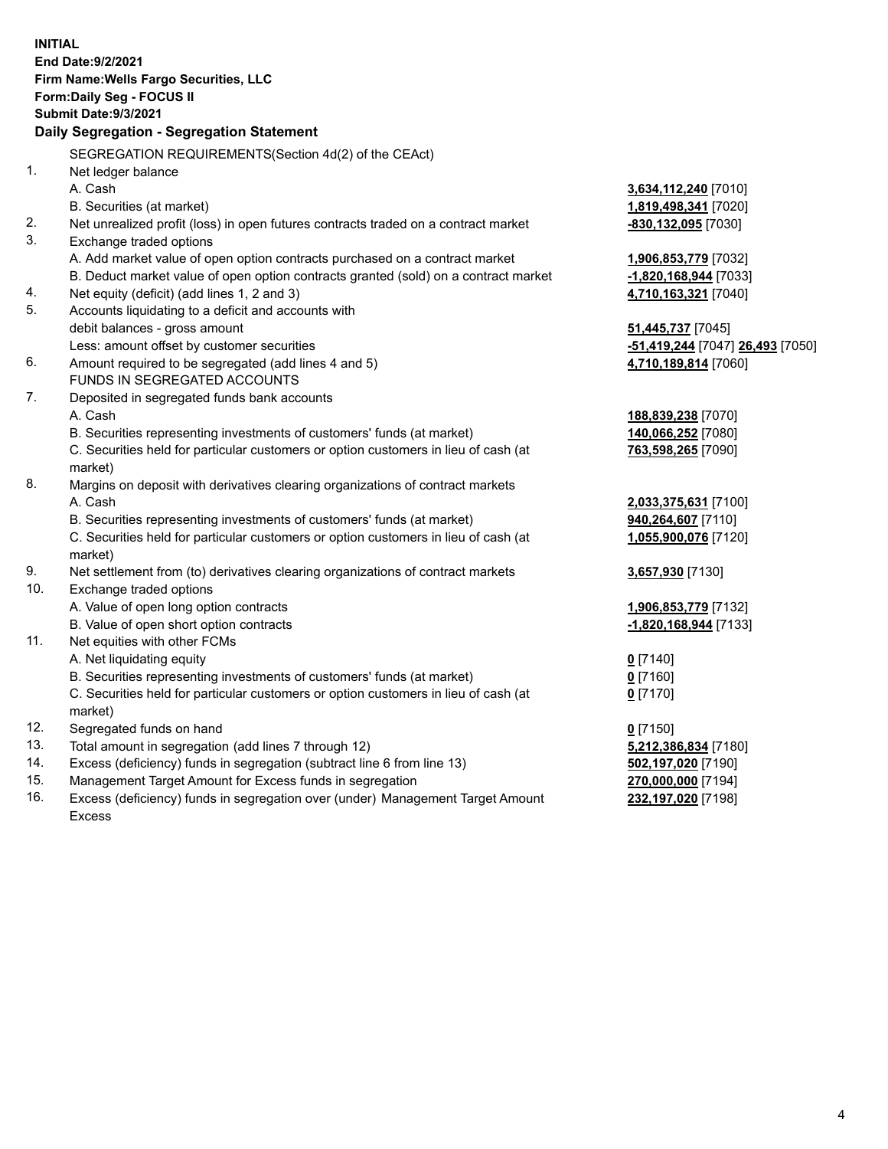|     | <b>INITIAL</b><br>End Date: 9/2/2021<br>Firm Name: Wells Fargo Securities, LLC<br>Form: Daily Seg - FOCUS II<br>Submit Date: 9/3/2021<br>Daily Segregation - Segregation Statement |                                  |
|-----|------------------------------------------------------------------------------------------------------------------------------------------------------------------------------------|----------------------------------|
|     | SEGREGATION REQUIREMENTS(Section 4d(2) of the CEAct)                                                                                                                               |                                  |
| 1.  | Net ledger balance                                                                                                                                                                 |                                  |
|     | A. Cash                                                                                                                                                                            | 3,634,112,240 [7010]             |
|     | B. Securities (at market)                                                                                                                                                          | 1,819,498,341 [7020]             |
| 2.  | Net unrealized profit (loss) in open futures contracts traded on a contract market                                                                                                 | -830,132,095 [7030]              |
| 3.  | Exchange traded options                                                                                                                                                            |                                  |
|     | A. Add market value of open option contracts purchased on a contract market                                                                                                        | 1,906,853,779 [7032]             |
|     | B. Deduct market value of open option contracts granted (sold) on a contract market                                                                                                | -1,820,168,944 [7033]            |
| 4.  | Net equity (deficit) (add lines 1, 2 and 3)                                                                                                                                        | 4,710,163,321 [7040]             |
| 5.  | Accounts liquidating to a deficit and accounts with                                                                                                                                |                                  |
|     | debit balances - gross amount                                                                                                                                                      | 51,445,737 [7045]                |
|     | Less: amount offset by customer securities                                                                                                                                         | -51,419,244 [7047] 26,493 [7050] |
| 6.  | Amount required to be segregated (add lines 4 and 5)                                                                                                                               | 4,710,189,814 [7060]             |
|     | FUNDS IN SEGREGATED ACCOUNTS                                                                                                                                                       |                                  |
| 7.  | Deposited in segregated funds bank accounts                                                                                                                                        |                                  |
|     | A. Cash                                                                                                                                                                            | 188,839,238 [7070]               |
|     | B. Securities representing investments of customers' funds (at market)                                                                                                             | 140,066,252 [7080]               |
|     | C. Securities held for particular customers or option customers in lieu of cash (at<br>market)                                                                                     | 763,598,265 [7090]               |
| 8.  | Margins on deposit with derivatives clearing organizations of contract markets                                                                                                     |                                  |
|     | A. Cash                                                                                                                                                                            | 2,033,375,631 [7100]             |
|     | B. Securities representing investments of customers' funds (at market)                                                                                                             | 940,264,607 [7110]               |
|     | C. Securities held for particular customers or option customers in lieu of cash (at<br>market)                                                                                     | 1,055,900,076 [7120]             |
| 9.  | Net settlement from (to) derivatives clearing organizations of contract markets                                                                                                    | 3,657,930 [7130]                 |
| 10. | Exchange traded options                                                                                                                                                            |                                  |
|     | A. Value of open long option contracts                                                                                                                                             | 1,906,853,779 [7132]             |
|     | B. Value of open short option contracts                                                                                                                                            | $-1,820,168,944$ [7133]          |
| 11. | Net equities with other FCMs                                                                                                                                                       |                                  |
|     | A. Net liquidating equity                                                                                                                                                          | $0$ [7140]                       |
|     | B. Securities representing investments of customers' funds (at market)                                                                                                             | $0$ [7160]                       |
|     | C. Securities held for particular customers or option customers in lieu of cash (at<br>market)                                                                                     | $0$ [7170]                       |
| 12. | Segregated funds on hand                                                                                                                                                           | $0$ [7150]                       |
| 13. | Total amount in segregation (add lines 7 through 12)                                                                                                                               | 5,212,386,834 [7180]             |
| 14. | Excess (deficiency) funds in segregation (subtract line 6 from line 13)                                                                                                            | 502,197,020 [7190]               |
| 15. | Management Target Amount for Excess funds in segregation                                                                                                                           | 270,000,000 [7194]               |
| 16. | Excess (deficiency) funds in segregation over (under) Management Target Amount                                                                                                     | 232,197,020 [7198]               |
|     | <b>Excess</b>                                                                                                                                                                      |                                  |